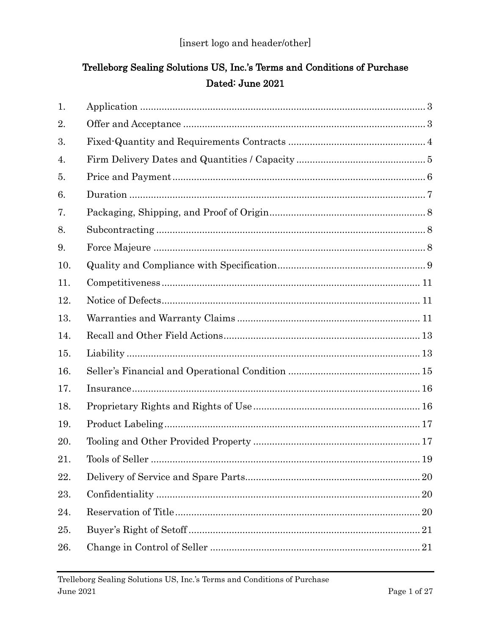# Trelleborg Sealing Solutions US, Inc.'s Terms and Conditions of Purchase Dated: June 2021

| 1.  |                                |  |
|-----|--------------------------------|--|
| 2.  |                                |  |
| 3.  |                                |  |
| 4.  |                                |  |
| 5.  |                                |  |
| 6.  |                                |  |
| 7.  |                                |  |
| 8.  |                                |  |
| 9.  |                                |  |
| 10. |                                |  |
| 11. |                                |  |
| 12. |                                |  |
| 13. |                                |  |
| 14. |                                |  |
| 15. |                                |  |
| 16. |                                |  |
| 17. |                                |  |
| 18. |                                |  |
| 19. |                                |  |
| 20. |                                |  |
| 21. | Tools of Seller<br>$\ldots$ 19 |  |
| 22. |                                |  |
| 23. |                                |  |
| 24. |                                |  |
| 25. |                                |  |
| 26. |                                |  |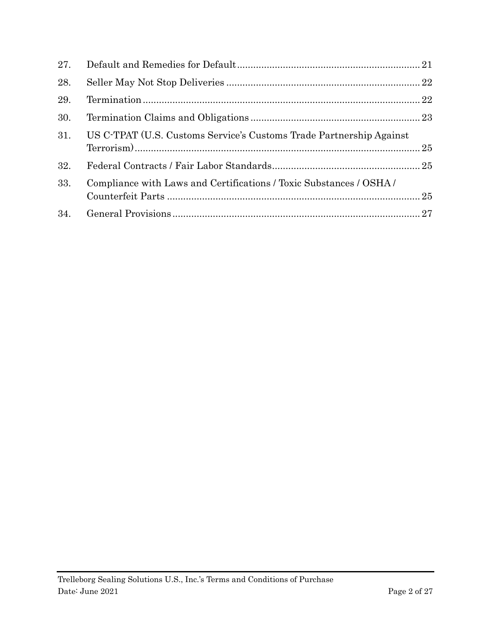| 27. |                                                                     |  |
|-----|---------------------------------------------------------------------|--|
| 28. |                                                                     |  |
| 29. |                                                                     |  |
| 30. |                                                                     |  |
| 31. | US C-TPAT (U.S. Customs Service's Customs Trade Partnership Against |  |
| 32. |                                                                     |  |
| 33. | Compliance with Laws and Certifications / Toxic Substances / OSHA / |  |
| 34. |                                                                     |  |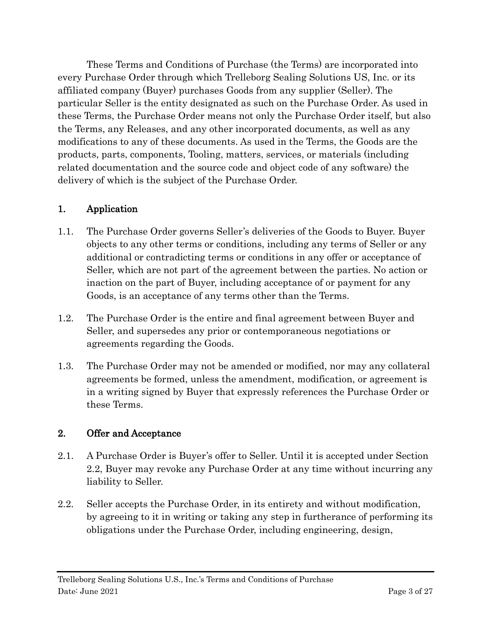These Terms and Conditions of Purchase (the Terms) are incorporated into every Purchase Order through which Trelleborg Sealing Solutions US, Inc. or its affiliated company (Buyer) purchases Goods from any supplier (Seller). The particular Seller is the entity designated as such on the Purchase Order. As used in these Terms, the Purchase Order means not only the Purchase Order itself, but also the Terms, any Releases, and any other incorporated documents, as well as any modifications to any of these documents. As used in the Terms, the Goods are the products, parts, components, Tooling, matters, services, or materials (including related documentation and the source code and object code of any software) the delivery of which is the subject of the Purchase Order.

#### <span id="page-2-0"></span>1. Application

- 1.1. The Purchase Order governs Seller's deliveries of the Goods to Buyer. Buyer objects to any other terms or conditions, including any terms of Seller or any additional or contradicting terms or conditions in any offer or acceptance of Seller, which are not part of the agreement between the parties. No action or inaction on the part of Buyer, including acceptance of or payment for any Goods, is an acceptance of any terms other than the Terms.
- 1.2. The Purchase Order is the entire and final agreement between Buyer and Seller, and supersedes any prior or contemporaneous negotiations or agreements regarding the Goods.
- 1.3. The Purchase Order may not be amended or modified, nor may any collateral agreements be formed, unless the amendment, modification, or agreement is in a writing signed by Buyer that expressly references the Purchase Order or these Terms.

#### <span id="page-2-1"></span>2. Offer and Acceptance

- 2.1. A Purchase Order is Buyer's offer to Seller. Until it is accepted under Section [2.2,](#page-2-2) Buyer may revoke any Purchase Order at any time without incurring any liability to Seller.
- <span id="page-2-2"></span>2.2. Seller accepts the Purchase Order, in its entirety and without modification, by agreeing to it in writing or taking any step in furtherance of performing its obligations under the Purchase Order, including engineering, design,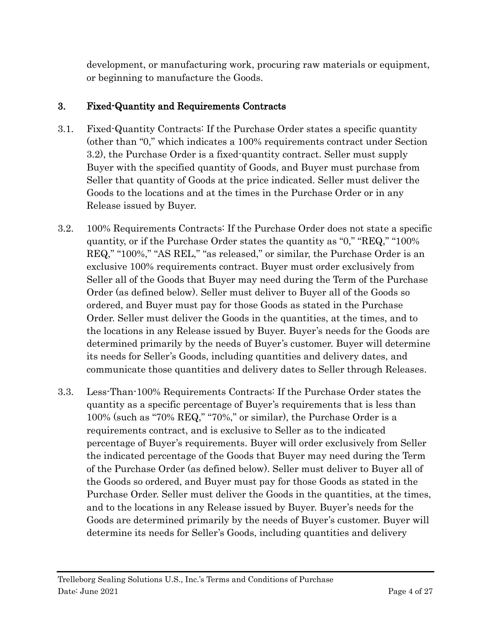development, or manufacturing work, procuring raw materials or equipment, or beginning to manufacture the Goods.

## <span id="page-3-0"></span>3. Fixed-Quantity and Requirements Contracts

- 3.1. Fixed-Quantity Contracts: If the Purchase Order states a specific quantity (other than "0," which indicates a 100% requirements contract under Section 3.2), the Purchase Order is a fixed-quantity contract. Seller must supply Buyer with the specified quantity of Goods, and Buyer must purchase from Seller that quantity of Goods at the price indicated. Seller must deliver the Goods to the locations and at the times in the Purchase Order or in any Release issued by Buyer.
- 3.2. 100% Requirements Contracts: If the Purchase Order does not state a specific quantity, or if the Purchase Order states the quantity as "0," "REQ," "100% REQ," "100%," "AS REL," "as released," or similar, the Purchase Order is an exclusive 100% requirements contract. Buyer must order exclusively from Seller all of the Goods that Buyer may need during the Term of the Purchase Order (as defined below). Seller must deliver to Buyer all of the Goods so ordered, and Buyer must pay for those Goods as stated in the Purchase Order. Seller must deliver the Goods in the quantities, at the times, and to the locations in any Release issued by Buyer. Buyer's needs for the Goods are determined primarily by the needs of Buyer's customer. Buyer will determine its needs for Seller's Goods, including quantities and delivery dates, and communicate those quantities and delivery dates to Seller through Releases.
- 3.3. Less-Than-100% Requirements Contracts: If the Purchase Order states the quantity as a specific percentage of Buyer's requirements that is less than 100% (such as "70% REQ," "70%," or similar), the Purchase Order is a requirements contract, and is exclusive to Seller as to the indicated percentage of Buyer's requirements. Buyer will order exclusively from Seller the indicated percentage of the Goods that Buyer may need during the Term of the Purchase Order (as defined below). Seller must deliver to Buyer all of the Goods so ordered, and Buyer must pay for those Goods as stated in the Purchase Order. Seller must deliver the Goods in the quantities, at the times, and to the locations in any Release issued by Buyer. Buyer's needs for the Goods are determined primarily by the needs of Buyer's customer. Buyer will determine its needs for Seller's Goods, including quantities and delivery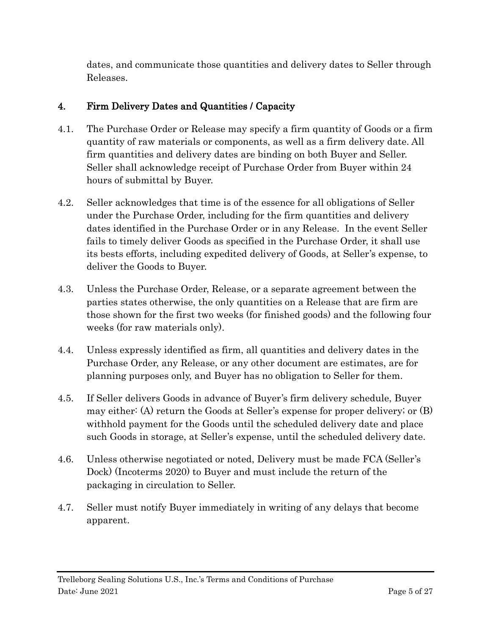dates, and communicate those quantities and delivery dates to Seller through Releases.

## <span id="page-4-0"></span>4. Firm Delivery Dates and Quantities / Capacity

- 4.1. The Purchase Order or Release may specify a firm quantity of Goods or a firm quantity of raw materials or components, as well as a firm delivery date. All firm quantities and delivery dates are binding on both Buyer and Seller. Seller shall acknowledge receipt of Purchase Order from Buyer within 24 hours of submittal by Buyer.
- 4.2. Seller acknowledges that time is of the essence for all obligations of Seller under the Purchase Order, including for the firm quantities and delivery dates identified in the Purchase Order or in any Release. In the event Seller fails to timely deliver Goods as specified in the Purchase Order, it shall use its bests efforts, including expedited delivery of Goods, at Seller's expense, to deliver the Goods to Buyer.
- 4.3. Unless the Purchase Order, Release, or a separate agreement between the parties states otherwise, the only quantities on a Release that are firm are those shown for the first two weeks (for finished goods) and the following four weeks (for raw materials only).
- 4.4. Unless expressly identified as firm, all quantities and delivery dates in the Purchase Order, any Release, or any other document are estimates, are for planning purposes only, and Buyer has no obligation to Seller for them.
- 4.5. If Seller delivers Goods in advance of Buyer's firm delivery schedule, Buyer may either: (A) return the Goods at Seller's expense for proper delivery; or (B) withhold payment for the Goods until the scheduled delivery date and place such Goods in storage, at Seller's expense, until the scheduled delivery date.
- 4.6. Unless otherwise negotiated or noted, Delivery must be made FCA (Seller's Dock) (Incoterms 2020) to Buyer and must include the return of the packaging in circulation to Seller.
- 4.7. Seller must notify Buyer immediately in writing of any delays that become apparent.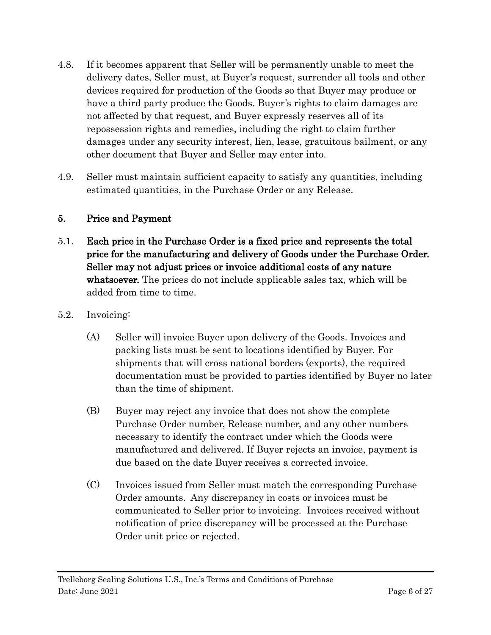- 4.8. If it becomes apparent that Seller will be permanently unable to meet the delivery dates, Seller must, at Buyer's request, surrender all tools and other devices required for production of the Goods so that Buyer may produce or have a third party produce the Goods. Buyer's rights to claim damages are not affected by that request, and Buyer expressly reserves all of its repossession rights and remedies, including the right to claim further damages under any security interest, lien, lease, gratuitous bailment, or any other document that Buyer and Seller may enter into.
- 4.9. Seller must maintain sufficient capacity to satisfy any quantities, including estimated quantities, in the Purchase Order or any Release.

#### <span id="page-5-0"></span>5. Price and Payment

- 5.1. Each price in the Purchase Order is a fixed price and represents the total price for the manufacturing and delivery of Goods under the Purchase Order. Seller may not adjust prices or invoice additional costs of any nature whatsoever. The prices do not include applicable sales tax, which will be added from time to time.
- 5.2. Invoicing:
	- (A) Seller will invoice Buyer upon delivery of the Goods. Invoices and packing lists must be sent to locations identified by Buyer. For shipments that will cross national borders (exports), the required documentation must be provided to parties identified by Buyer no later than the time of shipment.
	- (B) Buyer may reject any invoice that does not show the complete Purchase Order number, Release number, and any other numbers necessary to identify the contract under which the Goods were manufactured and delivered. If Buyer rejects an invoice, payment is due based on the date Buyer receives a corrected invoice.
	- (C) Invoices issued from Seller must match the corresponding Purchase Order amounts. Any discrepancy in costs or invoices must be communicated to Seller prior to invoicing. Invoices received without notification of price discrepancy will be processed at the Purchase Order unit price or rejected.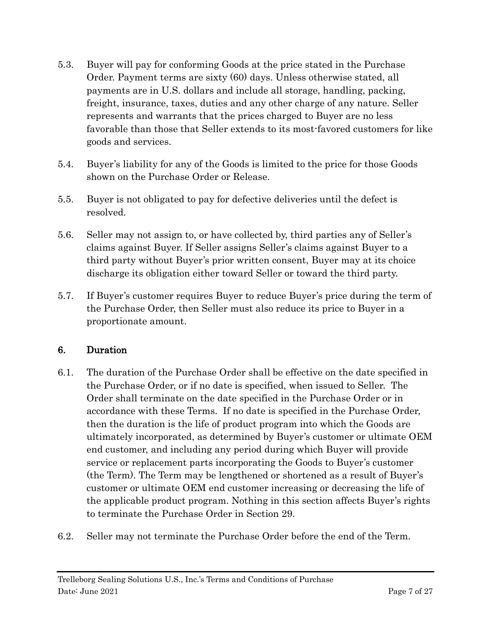- 5.3. Buyer will pay for conforming Goods at the price stated in the Purchase Order. Payment terms are sixty (60) days. Unless otherwise stated, all payments are in U.S. dollars and include all storage, handling, packing, freight, insurance, taxes, duties and any other charge of any nature. Seller represents and warrants that the prices charged to Buyer are no less favorable than those that Seller extends to its most-favored customers for like goods and services.
- 5.4. Buyer's liability for any of the Goods is limited to the price for those Goods shown on the Purchase Order or Release.
- 5.5. Buyer is not obligated to pay for defective deliveries until the defect is resolved.
- 5.6. Seller may not assign to, or have collected by, third parties any of Seller's claims against Buyer. If Seller assigns Seller's claims against Buyer to a third party without Buyer's prior written consent, Buyer may at its choice discharge its obligation either toward Seller or toward the third party.
- 5.7. If Buyer's customer requires Buyer to reduce Buyer's price during the term of the Purchase Order, then Seller must also reduce its price to Buyer in a proportionate amount.

### <span id="page-6-0"></span>6. Duration

- 6.1. The duration of the Purchase Order shall be effective on the date specified in the Purchase Order, or if no date is specified, when issued to Seller. The Order shall terminate on the date specified in the Purchase Order or in accordance with these Terms. If no date is specified in the Purchase Order, then the duration is the life of product program into which the Goods are ultimately incorporated, as determined by Buyer's customer or ultimate OEM end customer, and including any period during which Buyer will provide service or replacement parts incorporating the Goods to Buyer's customer (the Term). The Term may be lengthened or shortened as a result of Buyer's customer or ultimate OEM end customer increasing or decreasing the life of the applicable product program. Nothing in this section affects Buyer's rights to terminate the Purchase Order in Section [29.](#page-21-1)
- 6.2. Seller may not terminate the Purchase Order before the end of the Term.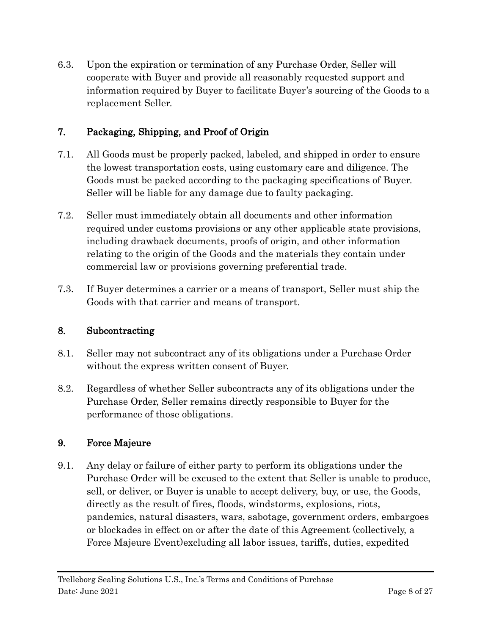6.3. Upon the expiration or termination of any Purchase Order, Seller will cooperate with Buyer and provide all reasonably requested support and information required by Buyer to facilitate Buyer's sourcing of the Goods to a replacement Seller.

## <span id="page-7-0"></span>7. Packaging, Shipping, and Proof of Origin

- 7.1. All Goods must be properly packed, labeled, and shipped in order to ensure the lowest transportation costs, using customary care and diligence. The Goods must be packed according to the packaging specifications of Buyer. Seller will be liable for any damage due to faulty packaging.
- 7.2. Seller must immediately obtain all documents and other information required under customs provisions or any other applicable state provisions, including drawback documents, proofs of origin, and other information relating to the origin of the Goods and the materials they contain under commercial law or provisions governing preferential trade.
- 7.3. If Buyer determines a carrier or a means of transport, Seller must ship the Goods with that carrier and means of transport.

### <span id="page-7-1"></span>8. Subcontracting

- 8.1. Seller may not subcontract any of its obligations under a Purchase Order without the express written consent of Buyer.
- 8.2. Regardless of whether Seller subcontracts any of its obligations under the Purchase Order, Seller remains directly responsible to Buyer for the performance of those obligations.

### <span id="page-7-2"></span>9. Force Majeure

9.1. Any delay or failure of either party to perform its obligations under the Purchase Order will be excused to the extent that Seller is unable to produce, sell, or deliver, or Buyer is unable to accept delivery, buy, or use, the Goods, directly as the result of fires, floods, windstorms, explosions, riots, pandemics, natural disasters, wars, sabotage, government orders, embargoes or blockades in effect on or after the date of this Agreement (collectively, a Force Majeure Event)excluding all labor issues, tariffs, duties, expedited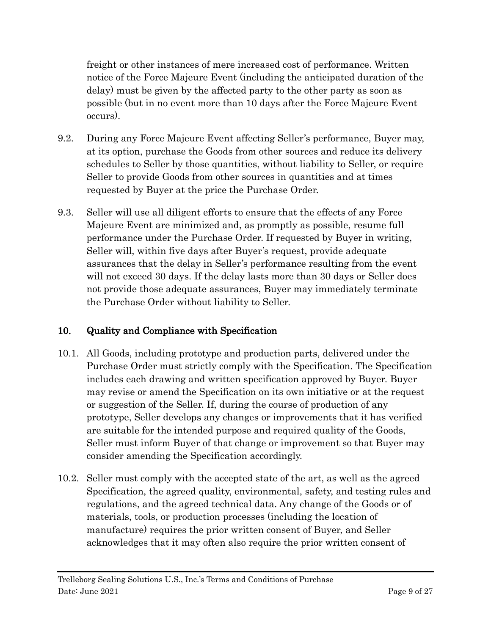freight or other instances of mere increased cost of performance. Written notice of the Force Majeure Event (including the anticipated duration of the delay) must be given by the affected party to the other party as soon as possible (but in no event more than 10 days after the Force Majeure Event occurs).

- 9.2. During any Force Majeure Event affecting Seller's performance, Buyer may, at its option, purchase the Goods from other sources and reduce its delivery schedules to Seller by those quantities, without liability to Seller, or require Seller to provide Goods from other sources in quantities and at times requested by Buyer at the price the Purchase Order.
- 9.3. Seller will use all diligent efforts to ensure that the effects of any Force Majeure Event are minimized and, as promptly as possible, resume full performance under the Purchase Order. If requested by Buyer in writing, Seller will, within five days after Buyer's request, provide adequate assurances that the delay in Seller's performance resulting from the event will not exceed 30 days. If the delay lasts more than 30 days or Seller does not provide those adequate assurances, Buyer may immediately terminate the Purchase Order without liability to Seller.

## <span id="page-8-0"></span>10. Quality and Compliance with Specification

- 10.1. All Goods, including prototype and production parts, delivered under the Purchase Order must strictly comply with the Specification. The Specification includes each drawing and written specification approved by Buyer. Buyer may revise or amend the Specification on its own initiative or at the request or suggestion of the Seller. If, during the course of production of any prototype, Seller develops any changes or improvements that it has verified are suitable for the intended purpose and required quality of the Goods, Seller must inform Buyer of that change or improvement so that Buyer may consider amending the Specification accordingly.
- 10.2. Seller must comply with the accepted state of the art, as well as the agreed Specification, the agreed quality, environmental, safety, and testing rules and regulations, and the agreed technical data. Any change of the Goods or of materials, tools, or production processes (including the location of manufacture) requires the prior written consent of Buyer, and Seller acknowledges that it may often also require the prior written consent of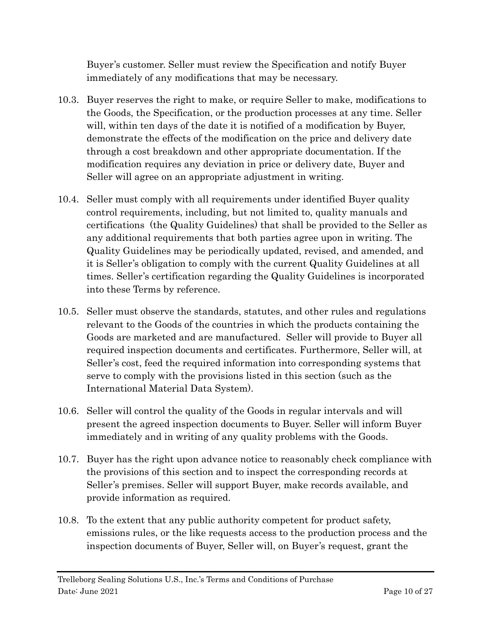Buyer's customer. Seller must review the Specification and notify Buyer immediately of any modifications that may be necessary.

- 10.3. Buyer reserves the right to make, or require Seller to make, modifications to the Goods, the Specification, or the production processes at any time. Seller will, within ten days of the date it is notified of a modification by Buyer, demonstrate the effects of the modification on the price and delivery date through a cost breakdown and other appropriate documentation. If the modification requires any deviation in price or delivery date, Buyer and Seller will agree on an appropriate adjustment in writing.
- 10.4. Seller must comply with all requirements under identified Buyer quality control requirements, including, but not limited to, quality manuals and certifications (the Quality Guidelines) that shall be provided to the Seller as any additional requirements that both parties agree upon in writing. The Quality Guidelines may be periodically updated, revised, and amended, and it is Seller's obligation to comply with the current Quality Guidelines at all times. Seller's certification regarding the Quality Guidelines is incorporated into these Terms by reference.
- 10.5. Seller must observe the standards, statutes, and other rules and regulations relevant to the Goods of the countries in which the products containing the Goods are marketed and are manufactured. Seller will provide to Buyer all required inspection documents and certificates. Furthermore, Seller will, at Seller's cost, feed the required information into corresponding systems that serve to comply with the provisions listed in this section (such as the International Material Data System).
- 10.6. Seller will control the quality of the Goods in regular intervals and will present the agreed inspection documents to Buyer. Seller will inform Buyer immediately and in writing of any quality problems with the Goods.
- 10.7. Buyer has the right upon advance notice to reasonably check compliance with the provisions of this section and to inspect the corresponding records at Seller's premises. Seller will support Buyer, make records available, and provide information as required.
- 10.8. To the extent that any public authority competent for product safety, emissions rules, or the like requests access to the production process and the inspection documents of Buyer, Seller will, on Buyer's request, grant the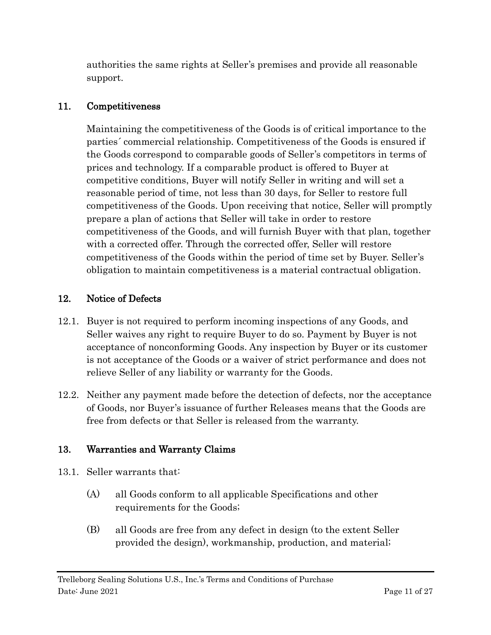authorities the same rights at Seller's premises and provide all reasonable support.

#### <span id="page-10-0"></span>11. Competitiveness

Maintaining the competitiveness of the Goods is of critical importance to the parties´ commercial relationship. Competitiveness of the Goods is ensured if the Goods correspond to comparable goods of Seller's competitors in terms of prices and technology. If a comparable product is offered to Buyer at competitive conditions, Buyer will notify Seller in writing and will set a reasonable period of time, not less than 30 days, for Seller to restore full competitiveness of the Goods. Upon receiving that notice, Seller will promptly prepare a plan of actions that Seller will take in order to restore competitiveness of the Goods, and will furnish Buyer with that plan, together with a corrected offer. Through the corrected offer, Seller will restore competitiveness of the Goods within the period of time set by Buyer. Seller's obligation to maintain competitiveness is a material contractual obligation.

### <span id="page-10-1"></span>12. Notice of Defects

- 12.1. Buyer is not required to perform incoming inspections of any Goods, and Seller waives any right to require Buyer to do so. Payment by Buyer is not acceptance of nonconforming Goods. Any inspection by Buyer or its customer is not acceptance of the Goods or a waiver of strict performance and does not relieve Seller of any liability or warranty for the Goods.
- 12.2. Neither any payment made before the detection of defects, nor the acceptance of Goods, nor Buyer's issuance of further Releases means that the Goods are free from defects or that Seller is released from the warranty.

### <span id="page-10-2"></span>13. Warranties and Warranty Claims

- <span id="page-10-3"></span>13.1. Seller warrants that:
	- (A) all Goods conform to all applicable Specifications and other requirements for the Goods;
	- (B) all Goods are free from any defect in design (to the extent Seller provided the design), workmanship, production, and material;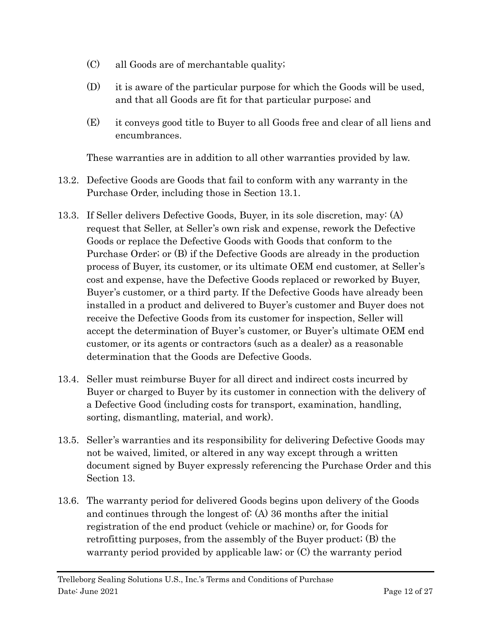- (C) all Goods are of merchantable quality;
- (D) it is aware of the particular purpose for which the Goods will be used, and that all Goods are fit for that particular purpose; and
- (E) it conveys good title to Buyer to all Goods free and clear of all liens and encumbrances.

These warranties are in addition to all other warranties provided by law.

- 13.2. Defective Goods are Goods that fail to conform with any warranty in the Purchase Order, including those in Section [13.1.](#page-10-3)
- 13.3. If Seller delivers Defective Goods, Buyer, in its sole discretion, may: (A) request that Seller, at Seller's own risk and expense, rework the Defective Goods or replace the Defective Goods with Goods that conform to the Purchase Order; or (B) if the Defective Goods are already in the production process of Buyer, its customer, or its ultimate OEM end customer, at Seller's cost and expense, have the Defective Goods replaced or reworked by Buyer, Buyer's customer, or a third party. If the Defective Goods have already been installed in a product and delivered to Buyer's customer and Buyer does not receive the Defective Goods from its customer for inspection, Seller will accept the determination of Buyer's customer, or Buyer's ultimate OEM end customer, or its agents or contractors (such as a dealer) as a reasonable determination that the Goods are Defective Goods.
- 13.4. Seller must reimburse Buyer for all direct and indirect costs incurred by Buyer or charged to Buyer by its customer in connection with the delivery of a Defective Good (including costs for transport, examination, handling, sorting, dismantling, material, and work).
- 13.5. Seller's warranties and its responsibility for delivering Defective Goods may not be waived, limited, or altered in any way except through a written document signed by Buyer expressly referencing the Purchase Order and this Section [13.](#page-10-2)
- 13.6. The warranty period for delivered Goods begins upon delivery of the Goods and continues through the longest of: (A) 36 months after the initial registration of the end product (vehicle or machine) or, for Goods for retrofitting purposes, from the assembly of the Buyer product; (B) the warranty period provided by applicable law; or (C) the warranty period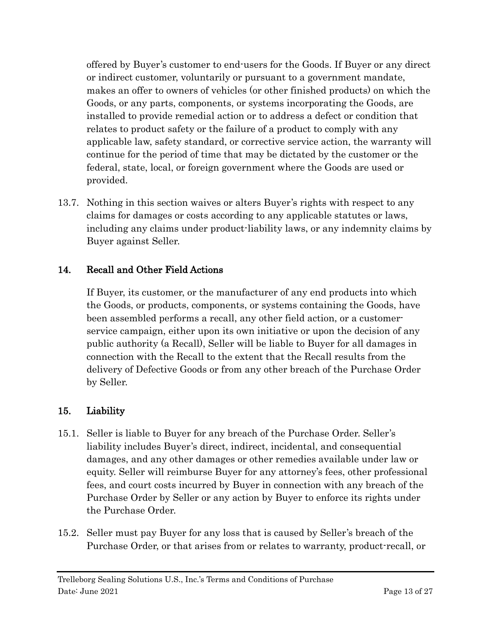offered by Buyer's customer to end-users for the Goods. If Buyer or any direct or indirect customer, voluntarily or pursuant to a government mandate, makes an offer to owners of vehicles (or other finished products) on which the Goods, or any parts, components, or systems incorporating the Goods, are installed to provide remedial action or to address a defect or condition that relates to product safety or the failure of a product to comply with any applicable law, safety standard, or corrective service action, the warranty will continue for the period of time that may be dictated by the customer or the federal, state, local, or foreign government where the Goods are used or provided.

13.7. Nothing in this section waives or alters Buyer's rights with respect to any claims for damages or costs according to any applicable statutes or laws, including any claims under product-liability laws, or any indemnity claims by Buyer against Seller.

### <span id="page-12-0"></span>14. Recall and Other Field Actions

If Buyer, its customer, or the manufacturer of any end products into which the Goods, or products, components, or systems containing the Goods, have been assembled performs a recall, any other field action, or a customerservice campaign, either upon its own initiative or upon the decision of any public authority (a Recall), Seller will be liable to Buyer for all damages in connection with the Recall to the extent that the Recall results from the delivery of Defective Goods or from any other breach of the Purchase Order by Seller.

### <span id="page-12-1"></span>15. Liability

- 15.1. Seller is liable to Buyer for any breach of the Purchase Order. Seller's liability includes Buyer's direct, indirect, incidental, and consequential damages, and any other damages or other remedies available under law or equity. Seller will reimburse Buyer for any attorney's fees, other professional fees, and court costs incurred by Buyer in connection with any breach of the Purchase Order by Seller or any action by Buyer to enforce its rights under the Purchase Order.
- <span id="page-12-3"></span><span id="page-12-2"></span>15.2. Seller must pay Buyer for any loss that is caused by Seller's breach of the Purchase Order, or that arises from or relates to warranty, product-recall, or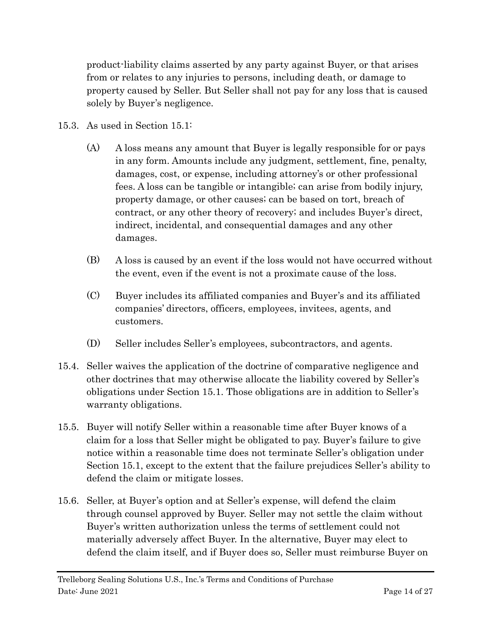product-liability claims asserted by any party against Buyer, or that arises from or relates to any injuries to persons, including death, or damage to property caused by Seller. But Seller shall not pay for any loss that is caused solely by Buyer's negligence.

- 15.3. As used in Section [15.1:](#page-12-2)
	- (A) A loss means any amount that Buyer is legally responsible for or pays in any form. Amounts include any judgment, settlement, fine, penalty, damages, cost, or expense, including attorney's or other professional fees. A loss can be tangible or intangible; can arise from bodily injury, property damage, or other causes; can be based on tort, breach of contract, or any other theory of recovery; and includes Buyer's direct, indirect, incidental, and consequential damages and any other damages.
	- (B) A loss is caused by an event if the loss would not have occurred without the event, even if the event is not a proximate cause of the loss.
	- (C) Buyer includes its affiliated companies and Buyer's and its affiliated companies' directors, officers, employees, invitees, agents, and customers.
	- (D) Seller includes Seller's employees, subcontractors, and agents.
- 15.4. Seller waives the application of the doctrine of comparative negligence and other doctrines that may otherwise allocate the liability covered by Seller's obligations under Section [15.1.](#page-12-2) Those obligations are in addition to Seller's warranty obligations.
- 15.5. Buyer will notify Seller within a reasonable time after Buyer knows of a claim for a loss that Seller might be obligated to pay. Buyer's failure to give notice within a reasonable time does not terminate Seller's obligation under Section [15.1,](#page-12-2) except to the extent that the failure prejudices Seller's ability to defend the claim or mitigate losses.
- 15.6. Seller, at Buyer's option and at Seller's expense, will defend the claim through counsel approved by Buyer. Seller may not settle the claim without Buyer's written authorization unless the terms of settlement could not materially adversely affect Buyer. In the alternative, Buyer may elect to defend the claim itself, and if Buyer does so, Seller must reimburse Buyer on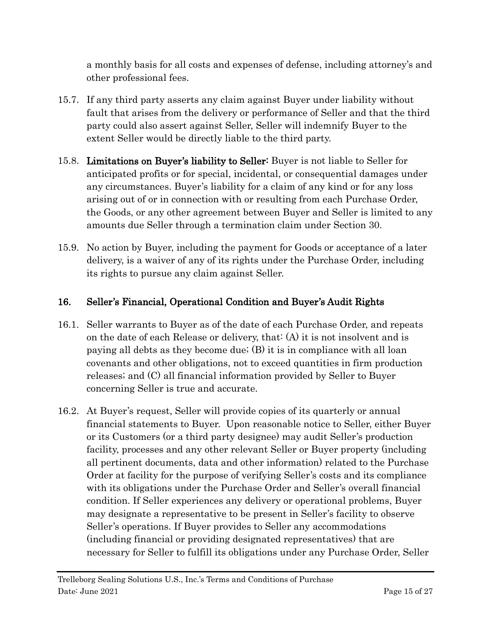a monthly basis for all costs and expenses of defense, including attorney's and other professional fees.

- 15.7. If any third party asserts any claim against Buyer under liability without fault that arises from the delivery or performance of Seller and that the third party could also assert against Seller, Seller will indemnify Buyer to the extent Seller would be directly liable to the third party.
- 15.8. Limitations on Buyer's liability to Seller: Buyer is not liable to Seller for anticipated profits or for special, incidental, or consequential damages under any circumstances. Buyer's liability for a claim of any kind or for any loss arising out of or in connection with or resulting from each Purchase Order, the Goods, or any other agreement between Buyer and Seller is limited to any amounts due Seller through a termination claim under Section [30.](#page-22-0)
- 15.9. No action by Buyer, including the payment for Goods or acceptance of a later delivery, is a waiver of any of its rights under the Purchase Order, including its rights to pursue any claim against Seller.

## <span id="page-14-0"></span>16. Seller's Financial, Operational Condition and Buyer's Audit Rights

- 16.1. Seller warrants to Buyer as of the date of each Purchase Order, and repeats on the date of each Release or delivery, that: (A) it is not insolvent and is paying all debts as they become due; (B) it is in compliance with all loan covenants and other obligations, not to exceed quantities in firm production releases; and (C) all financial information provided by Seller to Buyer concerning Seller is true and accurate.
- 16.2. At Buyer's request, Seller will provide copies of its quarterly or annual financial statements to Buyer. Upon reasonable notice to Seller, either Buyer or its Customers (or a third party designee) may audit Seller's production facility, processes and any other relevant Seller or Buyer property (including all pertinent documents, data and other information) related to the Purchase Order at facility for the purpose of verifying Seller's costs and its compliance with its obligations under the Purchase Order and Seller's overall financial condition. If Seller experiences any delivery or operational problems, Buyer may designate a representative to be present in Seller's facility to observe Seller's operations. If Buyer provides to Seller any accommodations (including financial or providing designated representatives) that are necessary for Seller to fulfill its obligations under any Purchase Order, Seller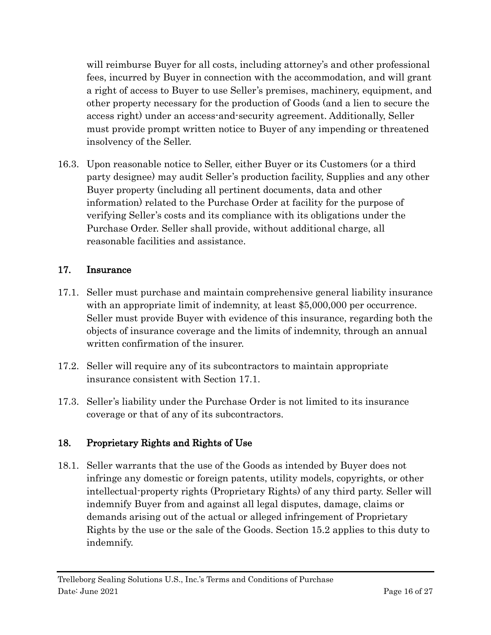will reimburse Buyer for all costs, including attorney's and other professional fees, incurred by Buyer in connection with the accommodation, and will grant a right of access to Buyer to use Seller's premises, machinery, equipment, and other property necessary for the production of Goods (and a lien to secure the access right) under an access-and-security agreement. Additionally, Seller must provide prompt written notice to Buyer of any impending or threatened insolvency of the Seller.

16.3. Upon reasonable notice to Seller, either Buyer or its Customers (or a third party designee) may audit Seller's production facility, Supplies and any other Buyer property (including all pertinent documents, data and other information) related to the Purchase Order at facility for the purpose of verifying Seller's costs and its compliance with its obligations under the Purchase Order. Seller shall provide, without additional charge, all reasonable facilities and assistance.

## <span id="page-15-0"></span>17. Insurance

- <span id="page-15-2"></span>17.1. Seller must purchase and maintain comprehensive general liability insurance with an appropriate limit of indemnity, at least \$5,000,000 per occurrence. Seller must provide Buyer with evidence of this insurance, regarding both the objects of insurance coverage and the limits of indemnity, through an annual written confirmation of the insurer.
- 17.2. Seller will require any of its subcontractors to maintain appropriate insurance consistent with Section [17.1.](#page-15-2)
- 17.3. Seller's liability under the Purchase Order is not limited to its insurance coverage or that of any of its subcontractors.

## <span id="page-15-1"></span>18. Proprietary Rights and Rights of Use

18.1. Seller warrants that the use of the Goods as intended by Buyer does not infringe any domestic or foreign patents, utility models, copyrights, or other intellectual-property rights (Proprietary Rights) of any third party. Seller will indemnify Buyer from and against all legal disputes, damage, claims or demands arising out of the actual or alleged infringement of Proprietary Rights by the use or the sale of the Goods. Section [15.2](#page-12-3) applies to this duty to indemnify.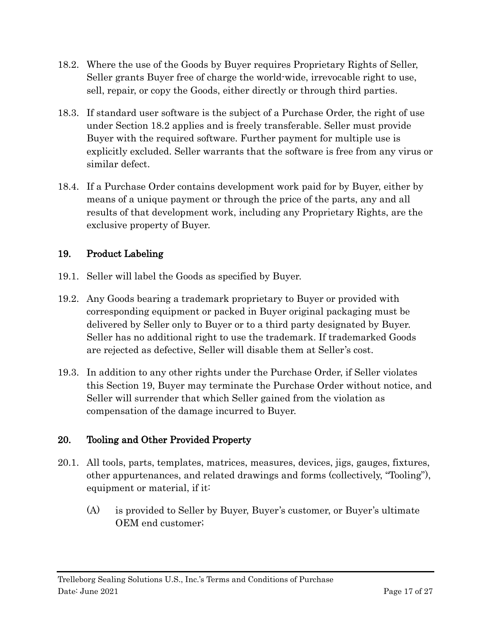- <span id="page-16-2"></span>18.2. Where the use of the Goods by Buyer requires Proprietary Rights of Seller, Seller grants Buyer free of charge the world-wide, irrevocable right to use, sell, repair, or copy the Goods, either directly or through third parties.
- 18.3. If standard user software is the subject of a Purchase Order, the right of use under Section [18.2](#page-16-2) applies and is freely transferable. Seller must provide Buyer with the required software. Further payment for multiple use is explicitly excluded. Seller warrants that the software is free from any virus or similar defect.
- 18.4. If a Purchase Order contains development work paid for by Buyer, either by means of a unique payment or through the price of the parts, any and all results of that development work, including any Proprietary Rights, are the exclusive property of Buyer.

### <span id="page-16-0"></span>19. Product Labeling

- 19.1. Seller will label the Goods as specified by Buyer.
- 19.2. Any Goods bearing a trademark proprietary to Buyer or provided with corresponding equipment or packed in Buyer original packaging must be delivered by Seller only to Buyer or to a third party designated by Buyer. Seller has no additional right to use the trademark. If trademarked Goods are rejected as defective, Seller will disable them at Seller's cost.
- 19.3. In addition to any other rights under the Purchase Order, if Seller violates this Section [19,](#page-16-0) Buyer may terminate the Purchase Order without notice, and Seller will surrender that which Seller gained from the violation as compensation of the damage incurred to Buyer.

### <span id="page-16-1"></span>20. Tooling and Other Provided Property

- 20.1. All tools, parts, templates, matrices, measures, devices, jigs, gauges, fixtures, other appurtenances, and related drawings and forms (collectively, "Tooling"), equipment or material, if it:
	- (A) is provided to Seller by Buyer, Buyer's customer, or Buyer's ultimate OEM end customer;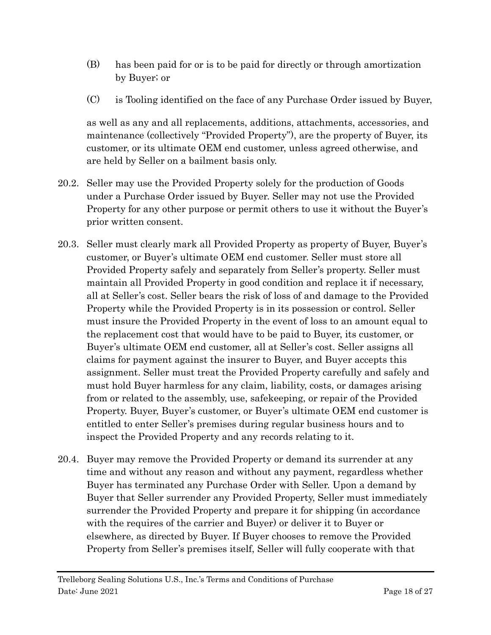- (B) has been paid for or is to be paid for directly or through amortization by Buyer; or
- (C) is Tooling identified on the face of any Purchase Order issued by Buyer,

as well as any and all replacements, additions, attachments, accessories, and maintenance (collectively "Provided Property"), are the property of Buyer, its customer, or its ultimate OEM end customer, unless agreed otherwise, and are held by Seller on a bailment basis only.

- 20.2. Seller may use the Provided Property solely for the production of Goods under a Purchase Order issued by Buyer. Seller may not use the Provided Property for any other purpose or permit others to use it without the Buyer's prior written consent.
- 20.3. Seller must clearly mark all Provided Property as property of Buyer, Buyer's customer, or Buyer's ultimate OEM end customer. Seller must store all Provided Property safely and separately from Seller's property. Seller must maintain all Provided Property in good condition and replace it if necessary, all at Seller's cost. Seller bears the risk of loss of and damage to the Provided Property while the Provided Property is in its possession or control. Seller must insure the Provided Property in the event of loss to an amount equal to the replacement cost that would have to be paid to Buyer, its customer, or Buyer's ultimate OEM end customer, all at Seller's cost. Seller assigns all claims for payment against the insurer to Buyer, and Buyer accepts this assignment. Seller must treat the Provided Property carefully and safely and must hold Buyer harmless for any claim, liability, costs, or damages arising from or related to the assembly, use, safekeeping, or repair of the Provided Property. Buyer, Buyer's customer, or Buyer's ultimate OEM end customer is entitled to enter Seller's premises during regular business hours and to inspect the Provided Property and any records relating to it.
- 20.4. Buyer may remove the Provided Property or demand its surrender at any time and without any reason and without any payment, regardless whether Buyer has terminated any Purchase Order with Seller. Upon a demand by Buyer that Seller surrender any Provided Property, Seller must immediately surrender the Provided Property and prepare it for shipping (in accordance with the requires of the carrier and Buyer) or deliver it to Buyer or elsewhere, as directed by Buyer. If Buyer chooses to remove the Provided Property from Seller's premises itself, Seller will fully cooperate with that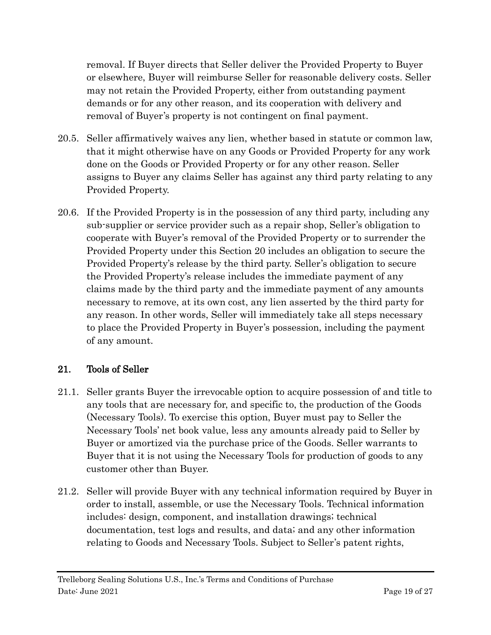removal. If Buyer directs that Seller deliver the Provided Property to Buyer or elsewhere, Buyer will reimburse Seller for reasonable delivery costs. Seller may not retain the Provided Property, either from outstanding payment demands or for any other reason, and its cooperation with delivery and removal of Buyer's property is not contingent on final payment.

- 20.5. Seller affirmatively waives any lien, whether based in statute or common law, that it might otherwise have on any Goods or Provided Property for any work done on the Goods or Provided Property or for any other reason. Seller assigns to Buyer any claims Seller has against any third party relating to any Provided Property.
- 20.6. If the Provided Property is in the possession of any third party, including any sub-supplier or service provider such as a repair shop, Seller's obligation to cooperate with Buyer's removal of the Provided Property or to surrender the Provided Property under this Section [20](#page-16-1) includes an obligation to secure the Provided Property's release by the third party. Seller's obligation to secure the Provided Property's release includes the immediate payment of any claims made by the third party and the immediate payment of any amounts necessary to remove, at its own cost, any lien asserted by the third party for any reason. In other words, Seller will immediately take all steps necessary to place the Provided Property in Buyer's possession, including the payment of any amount.

## <span id="page-18-0"></span>21. Tools of Seller

- 21.1. Seller grants Buyer the irrevocable option to acquire possession of and title to any tools that are necessary for, and specific to, the production of the Goods (Necessary Tools). To exercise this option, Buyer must pay to Seller the Necessary Tools' net book value, less any amounts already paid to Seller by Buyer or amortized via the purchase price of the Goods. Seller warrants to Buyer that it is not using the Necessary Tools for production of goods to any customer other than Buyer.
- 21.2. Seller will provide Buyer with any technical information required by Buyer in order to install, assemble, or use the Necessary Tools. Technical information includes: design, component, and installation drawings; technical documentation, test logs and results, and data; and any other information relating to Goods and Necessary Tools. Subject to Seller's patent rights,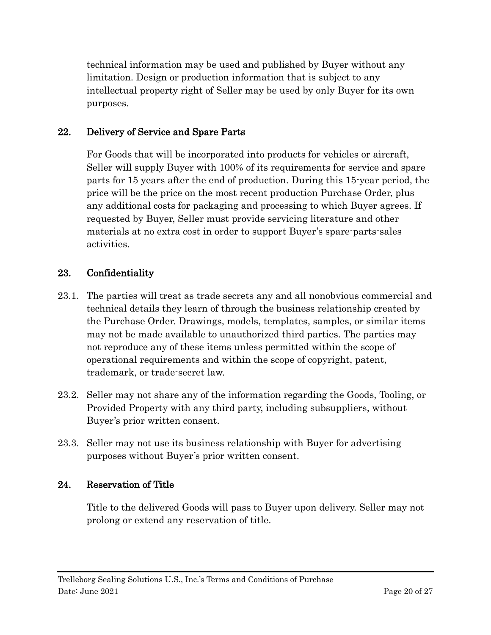technical information may be used and published by Buyer without any limitation. Design or production information that is subject to any intellectual property right of Seller may be used by only Buyer for its own purposes.

### <span id="page-19-0"></span>22. Delivery of Service and Spare Parts

For Goods that will be incorporated into products for vehicles or aircraft, Seller will supply Buyer with 100% of its requirements for service and spare parts for 15 years after the end of production. During this 15-year period, the price will be the price on the most recent production Purchase Order, plus any additional costs for packaging and processing to which Buyer agrees. If requested by Buyer, Seller must provide servicing literature and other materials at no extra cost in order to support Buyer's spare-parts-sales activities.

#### <span id="page-19-1"></span>23. Confidentiality

- 23.1. The parties will treat as trade secrets any and all nonobvious commercial and technical details they learn of through the business relationship created by the Purchase Order. Drawings, models, templates, samples, or similar items may not be made available to unauthorized third parties. The parties may not reproduce any of these items unless permitted within the scope of operational requirements and within the scope of copyright, patent, trademark, or trade-secret law.
- 23.2. Seller may not share any of the information regarding the Goods, Tooling, or Provided Property with any third party, including subsuppliers, without Buyer's prior written consent.
- 23.3. Seller may not use its business relationship with Buyer for advertising purposes without Buyer's prior written consent.

#### <span id="page-19-2"></span>24. Reservation of Title

Title to the delivered Goods will pass to Buyer upon delivery. Seller may not prolong or extend any reservation of title.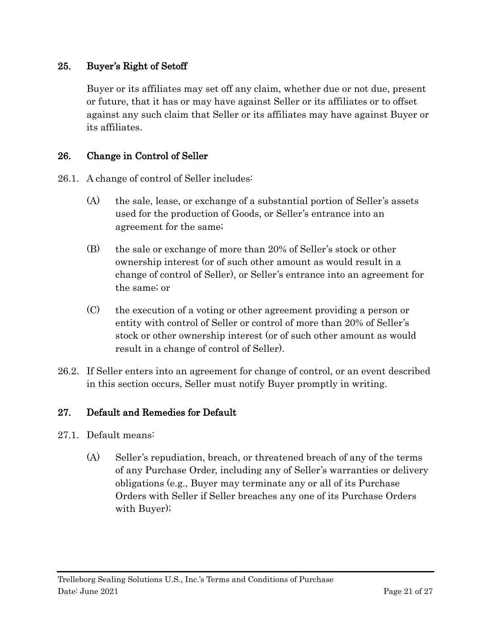### <span id="page-20-0"></span>25. Buyer's Right of Setoff

Buyer or its affiliates may set off any claim, whether due or not due, present or future, that it has or may have against Seller or its affiliates or to offset against any such claim that Seller or its affiliates may have against Buyer or its affiliates.

#### <span id="page-20-1"></span>26. Change in Control of Seller

26.1. A change of control of Seller includes:

- (A) the sale, lease, or exchange of a substantial portion of Seller's assets used for the production of Goods, or Seller's entrance into an agreement for the same;
- (B) the sale or exchange of more than 20% of Seller's stock or other ownership interest (or of such other amount as would result in a change of control of Seller), or Seller's entrance into an agreement for the same; or
- (C) the execution of a voting or other agreement providing a person or entity with control of Seller or control of more than 20% of Seller's stock or other ownership interest (or of such other amount as would result in a change of control of Seller).
- 26.2. If Seller enters into an agreement for change of control, or an event described in this section occurs, Seller must notify Buyer promptly in writing.

#### <span id="page-20-2"></span>27. Default and Remedies for Default

- 27.1. Default means:
	- (A) Seller's repudiation, breach, or threatened breach of any of the terms of any Purchase Order, including any of Seller's warranties or delivery obligations (e.g., Buyer may terminate any or all of its Purchase Orders with Seller if Seller breaches any one of its Purchase Orders with Buyer);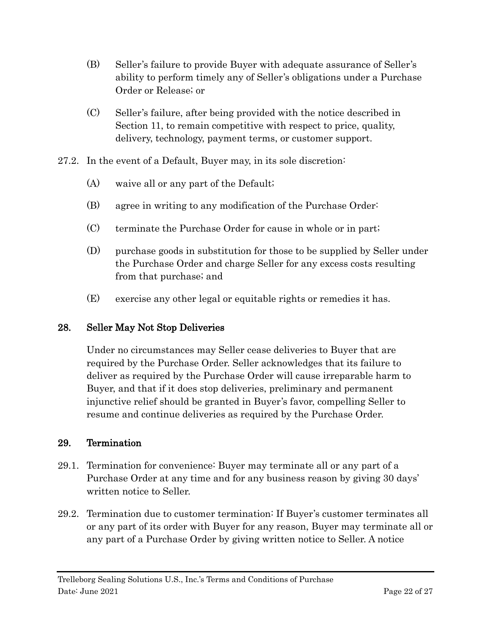- (B) Seller's failure to provide Buyer with adequate assurance of Seller's ability to perform timely any of Seller's obligations under a Purchase Order or Release; or
- (C) Seller's failure, after being provided with the notice described in Section [11,](#page-10-0) to remain competitive with respect to price, quality, delivery, technology, payment terms, or customer support.
- 27.2. In the event of a Default, Buyer may, in its sole discretion:
	- (A) waive all or any part of the Default;
	- (B) agree in writing to any modification of the Purchase Order:
	- (C) terminate the Purchase Order for cause in whole or in part;
	- (D) purchase goods in substitution for those to be supplied by Seller under the Purchase Order and charge Seller for any excess costs resulting from that purchase; and
	- (E) exercise any other legal or equitable rights or remedies it has.

## <span id="page-21-0"></span>28. Seller May Not Stop Deliveries

Under no circumstances may Seller cease deliveries to Buyer that are required by the Purchase Order. Seller acknowledges that its failure to deliver as required by the Purchase Order will cause irreparable harm to Buyer, and that if it does stop deliveries, preliminary and permanent injunctive relief should be granted in Buyer's favor, compelling Seller to resume and continue deliveries as required by the Purchase Order.

### <span id="page-21-1"></span>29. Termination

- <span id="page-21-2"></span>29.1. Termination for convenience: Buyer may terminate all or any part of a Purchase Order at any time and for any business reason by giving 30 days' written notice to Seller.
- 29.2. Termination due to customer termination: If Buyer's customer terminates all or any part of its order with Buyer for any reason, Buyer may terminate all or any part of a Purchase Order by giving written notice to Seller. A notice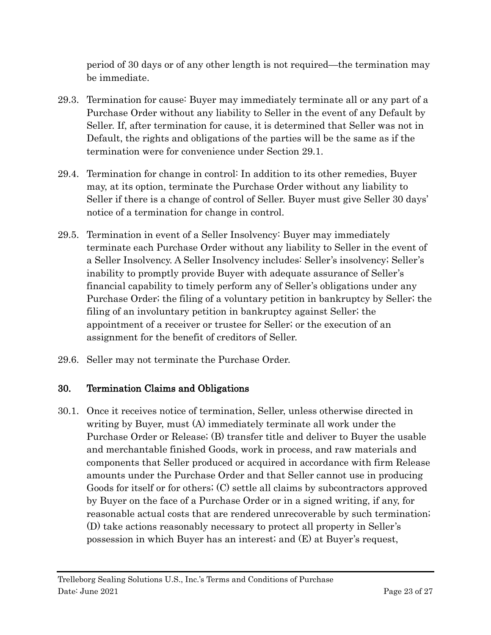period of 30 days or of any other length is not required—the termination may be immediate.

- 29.3. Termination for cause: Buyer may immediately terminate all or any part of a Purchase Order without any liability to Seller in the event of any Default by Seller. If, after termination for cause, it is determined that Seller was not in Default, the rights and obligations of the parties will be the same as if the termination were for convenience under Section [29.1.](#page-21-2)
- 29.4. Termination for change in control: In addition to its other remedies, Buyer may, at its option, terminate the Purchase Order without any liability to Seller if there is a change of control of Seller. Buyer must give Seller 30 days' notice of a termination for change in control.
- 29.5. Termination in event of a Seller Insolvency: Buyer may immediately terminate each Purchase Order without any liability to Seller in the event of a Seller Insolvency. A Seller Insolvency includes: Seller's insolvency; Seller's inability to promptly provide Buyer with adequate assurance of Seller's financial capability to timely perform any of Seller's obligations under any Purchase Order; the filing of a voluntary petition in bankruptcy by Seller; the filing of an involuntary petition in bankruptcy against Seller; the appointment of a receiver or trustee for Seller; or the execution of an assignment for the benefit of creditors of Seller.
- 29.6. Seller may not terminate the Purchase Order.

### <span id="page-22-0"></span>30. Termination Claims and Obligations

<span id="page-22-1"></span>30.1. Once it receives notice of termination, Seller, unless otherwise directed in writing by Buyer, must (A) immediately terminate all work under the Purchase Order or Release; (B) transfer title and deliver to Buyer the usable and merchantable finished Goods, work in process, and raw materials and components that Seller produced or acquired in accordance with firm Release amounts under the Purchase Order and that Seller cannot use in producing Goods for itself or for others; (C) settle all claims by subcontractors approved by Buyer on the face of a Purchase Order or in a signed writing, if any, for reasonable actual costs that are rendered unrecoverable by such termination; (D) take actions reasonably necessary to protect all property in Seller's possession in which Buyer has an interest; and (E) at Buyer's request,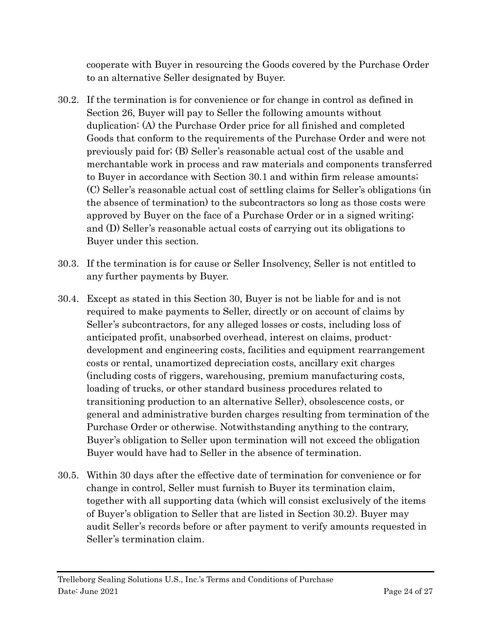cooperate with Buyer in resourcing the Goods covered by the Purchase Order to an alternative Seller designated by Buyer.

- <span id="page-23-0"></span>30.2. If the termination is for convenience or for change in control as defined in Section 26, Buyer will pay to Seller the following amounts without duplication: (A) the Purchase Order price for all finished and completed Goods that conform to the requirements of the Purchase Order and were not previously paid for; (B) Seller's reasonable actual cost of the usable and merchantable work in process and raw materials and components transferred to Buyer in accordance with Section [30.1](#page-22-1) and within firm release amounts; (C) Seller's reasonable actual cost of settling claims for Seller's obligations (in the absence of termination) to the subcontractors so long as those costs were approved by Buyer on the face of a Purchase Order or in a signed writing; and (D) Seller's reasonable actual costs of carrying out its obligations to Buyer under this section.
- 30.3. If the termination is for cause or Seller Insolvency, Seller is not entitled to any further payments by Buyer.
- 30.4. Except as stated in this Section [30,](#page-22-0) Buyer is not be liable for and is not required to make payments to Seller, directly or on account of claims by Seller's subcontractors, for any alleged losses or costs, including loss of anticipated profit, unabsorbed overhead, interest on claims, productdevelopment and engineering costs, facilities and equipment rearrangement costs or rental, unamortized depreciation costs, ancillary exit charges (including costs of riggers, warehousing, premium manufacturing costs, loading of trucks, or other standard business procedures related to transitioning production to an alternative Seller), obsolescence costs, or general and administrative burden charges resulting from termination of the Purchase Order or otherwise. Notwithstanding anything to the contrary, Buyer's obligation to Seller upon termination will not exceed the obligation Buyer would have had to Seller in the absence of termination.
- 30.5. Within 30 days after the effective date of termination for convenience or for change in control, Seller must furnish to Buyer its termination claim, together with all supporting data (which will consist exclusively of the items of Buyer's obligation to Seller that are listed in Section [30.2\)](#page-23-0). Buyer may audit Seller's records before or after payment to verify amounts requested in Seller's termination claim.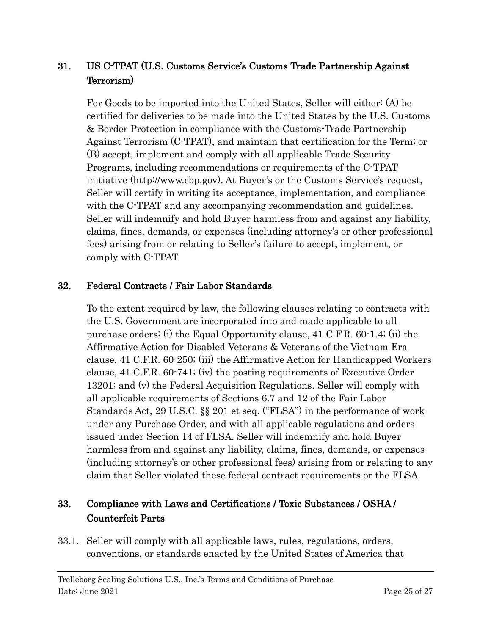## <span id="page-24-0"></span>31. US C-TPAT (U.S. Customs Service's Customs Trade Partnership Against Terrorism)

For Goods to be imported into the United States, Seller will either: (A) be certified for deliveries to be made into the United States by the U.S. Customs & Border Protection in compliance with the Customs-Trade Partnership Against Terrorism (C-TPAT), and maintain that certification for the Term; or (B) accept, implement and comply with all applicable Trade Security Programs, including recommendations or requirements of the C-TPAT initiative (http://www.cbp.gov). At Buyer's or the Customs Service's request, Seller will certify in writing its acceptance, implementation, and compliance with the C-TPAT and any accompanying recommendation and guidelines. Seller will indemnify and hold Buyer harmless from and against any liability, claims, fines, demands, or expenses (including attorney's or other professional fees) arising from or relating to Seller's failure to accept, implement, or comply with C-TPAT.

#### <span id="page-24-1"></span>32. Federal Contracts / Fair Labor Standards

To the extent required by law, the following clauses relating to contracts with the U.S. Government are incorporated into and made applicable to all purchase orders: (i) the Equal Opportunity clause, 41 C.F.R. 60-1.4; (ii) the Affirmative Action for Disabled Veterans & Veterans of the Vietnam Era clause, 41 C.F.R. 60-250; (iii) the Affirmative Action for Handicapped Workers clause, 41 C.F.R. 60-741; (iv) the posting requirements of Executive Order 13201; and (v) the Federal Acquisition Regulations. Seller will comply with all applicable requirements of Sections 6.7 and 12 of the Fair Labor Standards Act, 29 U.S.C. §§ 201 et seq. ("FLSA") in the performance of work under any Purchase Order, and with all applicable regulations and orders issued under Section 14 of FLSA. Seller will indemnify and hold Buyer harmless from and against any liability, claims, fines, demands, or expenses (including attorney's or other professional fees) arising from or relating to any claim that Seller violated these federal contract requirements or the FLSA.

## <span id="page-24-2"></span>33. Compliance with Laws and Certifications / Toxic Substances / OSHA / Counterfeit Parts

33.1. Seller will comply with all applicable laws, rules, regulations, orders, conventions, or standards enacted by the United States of America that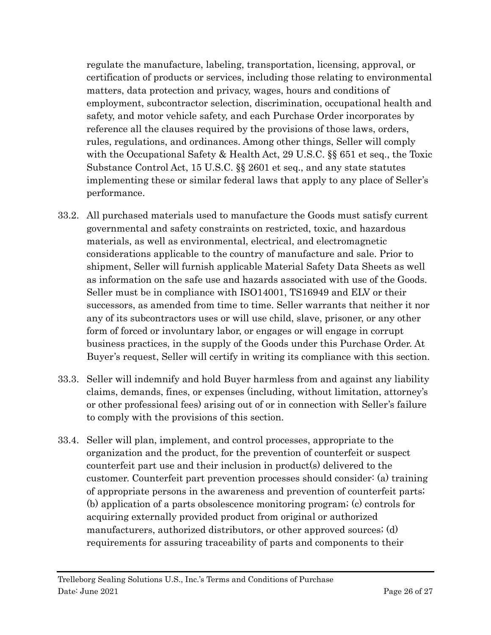regulate the manufacture, labeling, transportation, licensing, approval, or certification of products or services, including those relating to environmental matters, data protection and privacy, wages, hours and conditions of employment, subcontractor selection, discrimination, occupational health and safety, and motor vehicle safety, and each Purchase Order incorporates by reference all the clauses required by the provisions of those laws, orders, rules, regulations, and ordinances. Among other things, Seller will comply with the Occupational Safety & Health Act, 29 U.S.C. §§ 651 et seq., the Toxic Substance Control Act, 15 U.S.C. §§ 2601 et seq., and any state statutes implementing these or similar federal laws that apply to any place of Seller's performance.

- 33.2. All purchased materials used to manufacture the Goods must satisfy current governmental and safety constraints on restricted, toxic, and hazardous materials, as well as environmental, electrical, and electromagnetic considerations applicable to the country of manufacture and sale. Prior to shipment, Seller will furnish applicable Material Safety Data Sheets as well as information on the safe use and hazards associated with use of the Goods. Seller must be in compliance with ISO14001, TS16949 and ELV or their successors, as amended from time to time. Seller warrants that neither it nor any of its subcontractors uses or will use child, slave, prisoner, or any other form of forced or involuntary labor, or engages or will engage in corrupt business practices, in the supply of the Goods under this Purchase Order. At Buyer's request, Seller will certify in writing its compliance with this section.
- 33.3. Seller will indemnify and hold Buyer harmless from and against any liability claims, demands, fines, or expenses (including, without limitation, attorney's or other professional fees) arising out of or in connection with Seller's failure to comply with the provisions of this section.
- 33.4. Seller will plan, implement, and control processes, appropriate to the organization and the product, for the prevention of counterfeit or suspect counterfeit part use and their inclusion in product(s) delivered to the customer. Counterfeit part prevention processes should consider: (a) training of appropriate persons in the awareness and prevention of counterfeit parts; (b) application of a parts obsolescence monitoring program; (c) controls for acquiring externally provided product from original or authorized manufacturers, authorized distributors, or other approved sources; (d) requirements for assuring traceability of parts and components to their